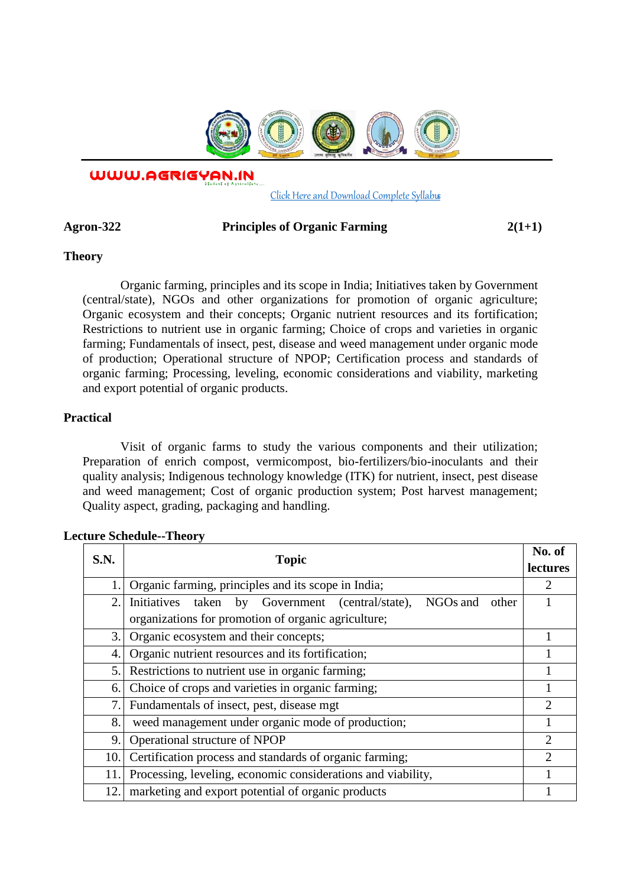

WWW.AGRIGYAN.IN

[Click Here and Download Complete Syllabus](http://agrigyan.in/)

## Agron-322 Principles of Organic Farming 2(1+1)

## **Theory**

 $\overline{a}$ 

Organic farming, principles and its scope in India; Initiatives taken by Government (central/state), NGOs and other organizations for promotion of organic agriculture; Organic ecosystem and their concepts; Organic nutrient resources and its fortification; Restrictions to nutrient use in organic farming; Choice of crops and varieties in organic farming; Fundamentals of insect, pest, disease and weed management under organic mode of production; Operational structure of NPOP; Certification process and standards of organic farming; Processing, leveling, economic considerations and viability, marketing and export potential of organic products.

## **Practical**

Visit of organic farms to study the various components and their utilization; Preparation of enrich compost, vermicompost, bio-fertilizers/bio-inoculants and their quality analysis; Indigenous technology knowledge (ITK) for nutrient, insect, pest disease and weed management; Cost of organic production system; Post harvest management; Quality aspect, grading, packaging and handling.

| S.N.           | <b>Topic</b>                                                          | No. of<br>lectures          |
|----------------|-----------------------------------------------------------------------|-----------------------------|
|                | Organic farming, principles and its scope in India;                   | 2                           |
| 2.             | Initiatives taken by Government (central/state),<br>NGOs and<br>other |                             |
|                | organizations for promotion of organic agriculture;                   |                             |
| 3.             | Organic ecosystem and their concepts;                                 |                             |
| 4.             | Organic nutrient resources and its fortification;                     |                             |
| 5.             | Restrictions to nutrient use in organic farming;                      |                             |
| 6.             | Choice of crops and varieties in organic farming;                     |                             |
| $\overline{7}$ | Fundamentals of insect, pest, disease mgt                             | $\overline{2}$              |
| 8.             | weed management under organic mode of production;                     |                             |
| 9.             | Operational structure of NPOP                                         | $\overline{2}$              |
| 10.            | Certification process and standards of organic farming;               | $\mathcal{D}_{\mathcal{L}}$ |
| 11.            | Processing, leveling, economic considerations and viability,          |                             |
| 12.            | marketing and export potential of organic products                    |                             |

# **Lecture Schedule--Theory**